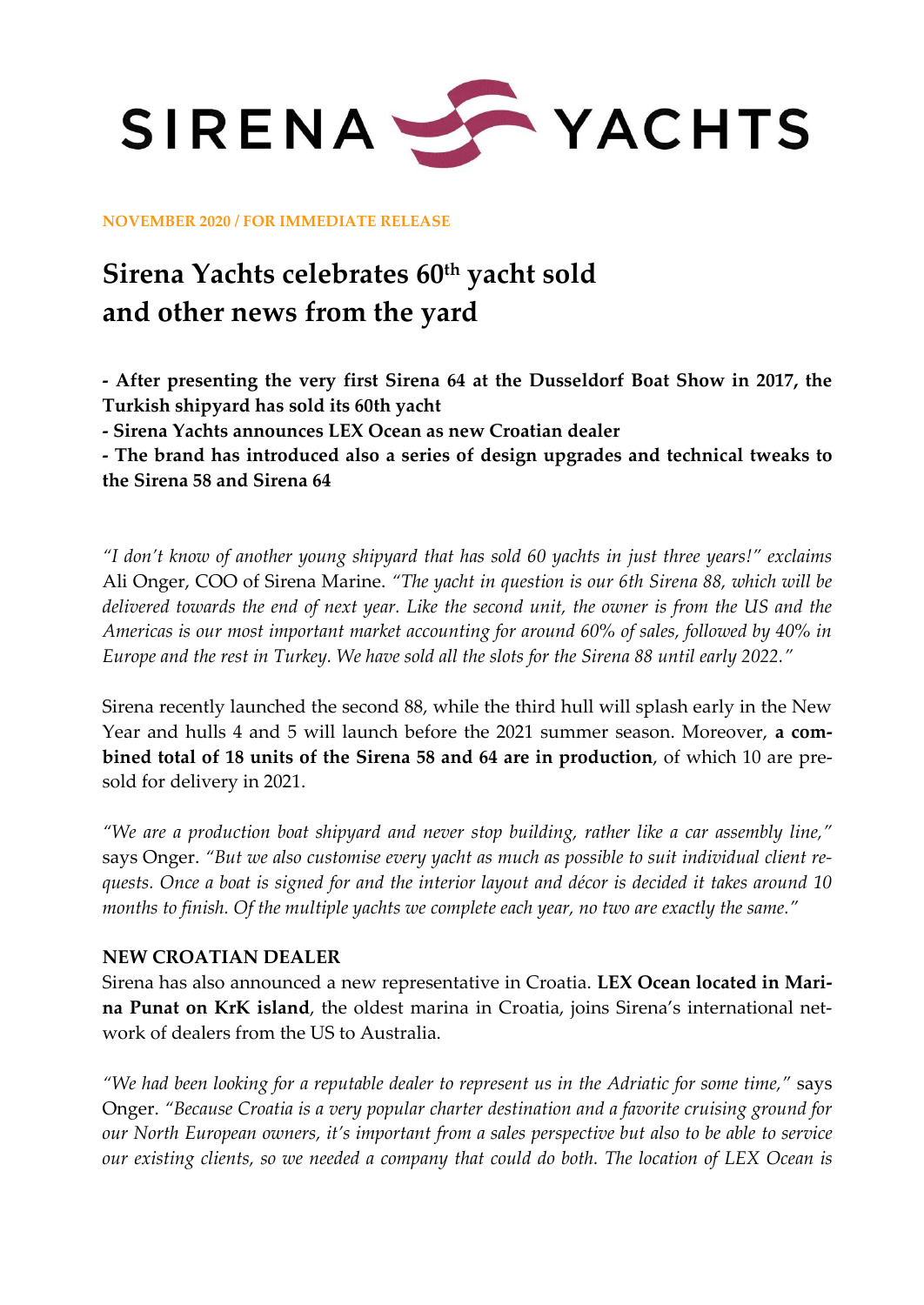

**NOVEMBER 2020 / FOR IMMEDIATE RELEASE**

# **Sirena Yachts celebrates 60th yacht sold and other news from the yard**

**- After presenting the very first Sirena 64 at the Dusseldorf Boat Show in 2017, the Turkish shipyard has sold its 60th yacht**

**- Sirena Yachts announces LEX Ocean as new Croatian dealer**

**- The brand has introduced also a series of design upgrades and technical tweaks to the Sirena 58 and Sirena 64** 

*"I don't know of another young shipyard that has sold 60 yachts in just three years!" exclaims*  Ali Onger, COO of Sirena Marine. *"The yacht in question is our 6th Sirena 88, which will be delivered towards the end of next year. Like the second unit, the owner is from the US and the Americas is our most important market accounting for around 60% of sales, followed by 40% in Europe and the rest in Turkey. We have sold all the slots for the Sirena 88 until early 2022."*

Sirena recently launched the second 88, while the third hull will splash early in the New Year and hulls 4 and 5 will launch before the 2021 summer season. Moreover, **a combined total of 18 units of the Sirena 58 and 64 are in production**, of which 10 are presold for delivery in 2021.

*"We are a production boat shipyard and never stop building, rather like a car assembly line,"* says Onger. *"But we also customise every yacht as much as possible to suit individual client requests. Once a boat is signed for and the interior layout and décor is decided it takes around 10 months to finish. Of the multiple yachts we complete each year, no two are exactly the same."*

#### **NEW CROATIAN DEALER**

Sirena has also announced a new representative in Croatia. **LEX Ocean located in Marina Punat on KrK island**, the oldest marina in Croatia, joins Sirena's international network of dealers from the US to Australia.

*"We had been looking for a reputable dealer to represent us in the Adriatic for some time,"* says Onger. *"Because Croatia is a very popular charter destination and a favorite cruising ground for our North European owners, it's important from a sales perspective but also to be able to service our existing clients, so we needed a company that could do both. The location of LEX Ocean is*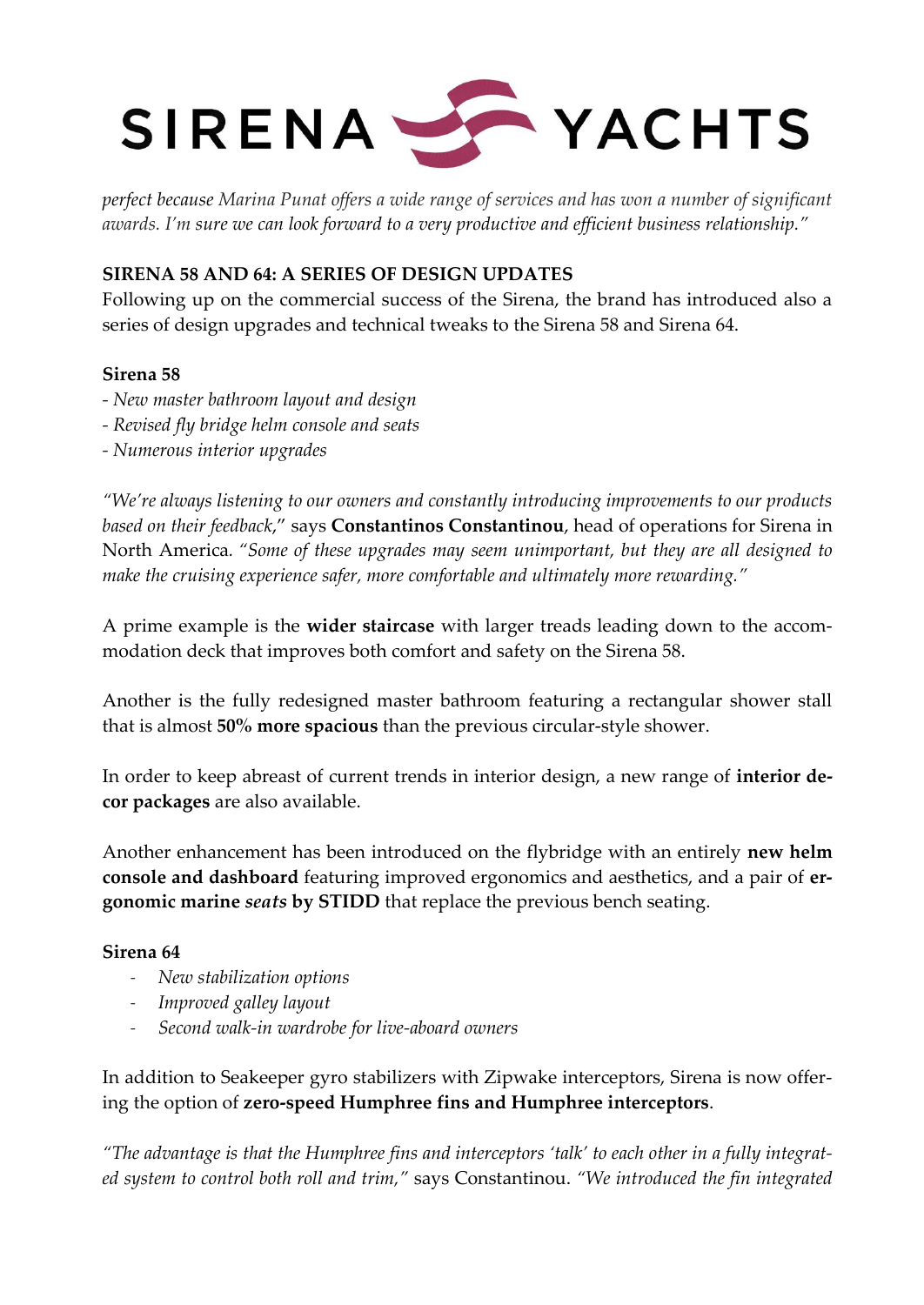

*perfect because Marina Punat offers a wide range of services and has won a number of significant awards. I'm sure we can look forward to a very productive and efficient business relationship."*

## **SIRENA 58 AND 64: A SERIES OF DESIGN UPDATES**

Following up on the commercial success of the Sirena, the brand has introduced also a series of design upgrades and technical tweaks to the Sirena 58 and Sirena 64.

### **Sirena 58**

- *- New master bathroom layout and design*
- *- Revised fly bridge helm console and seats*
- *- Numerous interior upgrades*

*"We're always listening to our owners and constantly introducing improvements to our products based on their feedback*," says **Constantinos Constantinou**, head of operations for Sirena in North America*. "Some of these upgrades may seem unimportant, but they are all designed to make the cruising experience safer, more comfortable and ultimately more rewarding."*

A prime example is the **wider staircase** with larger treads leading down to the accommodation deck that improves both comfort and safety on the Sirena 58.

Another is the fully redesigned master bathroom featuring a rectangular shower stall that is almost **50% more spacious** than the previous circular-style shower.

In order to keep abreast of current trends in interior design, a new range of **interior decor packages** are also available.

Another enhancement has been introduced on the flybridge with an entirely **new helm console and dashboard** featuring improved ergonomics and aesthetics, and a pair of **ergonomic marine** *seats* **by STIDD** that replace the previous bench seating.

### **Sirena 64**

- *New stabilization options*
- *Improved galley layout*
- *Second walk-in wardrobe for live-aboard owners*

In addition to Seakeeper gyro stabilizers with Zipwake interceptors, Sirena is now offering the option of **zero-speed Humphree fins and Humphree interceptors**.

*"The advantage is that the Humphree fins and interceptors 'talk' to each other in a fully integrated system to control both roll and trim,"* says Constantinou. *"We introduced the fin integrated*